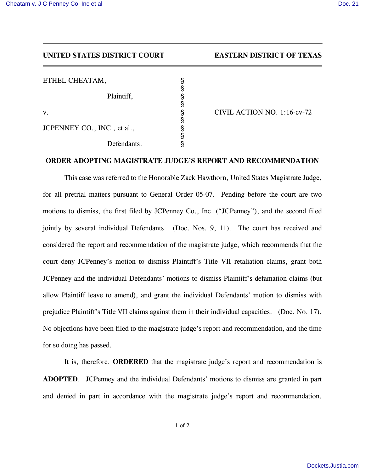## **UNITED STATES DISTRICT COURT EASTERN DISTRICT OF TEXAS**

| ETHEL CHEATAM,              |                             |
|-----------------------------|-----------------------------|
| Plaintiff,                  |                             |
| V.                          | CIVIL ACTION NO. 1:16-cv-72 |
| JCPENNEY CO., INC., et al., |                             |
| Defendants.                 |                             |

## **ORDER ADOPTING MAGISTRATE JUDGE'S REPORT AND RECOMMENDATION**

This case was referred to the Honorable Zack Hawthorn, United States Magistrate Judge, for all pretrial matters pursuant to General Order 05-07. Pending before the court are two motions to dismiss, the first filed by JCPenney Co., Inc. ("JCPenney"), and the second filed jointly by several individual Defendants. (Doc. Nos. 9, 11). The court has received and considered the report and recommendation of the magistrate judge, which recommends that the court deny JCPenney's motion to dismiss Plaintiff's Title VII retaliation claims, grant both JCPenney and the individual Defendants' motions to dismiss Plaintiff's defamation claims (but allow Plaintiff leave to amend), and grant the individual Defendants' motion to dismiss with prejudice Plaintiff's Title VII claims against them in their individual capacities. (Doc. No. 17). No objections have been filed to the magistrate judge's report and recommendation, and the time for so doing has passed.

It is, therefore, **ORDERED** that the magistrate judge's report and recommendation is **ADOPTED**. JCPenney and the individual Defendants' motions to dismiss are granted in part and denied in part in accordance with the magistrate judge's report and recommendation.